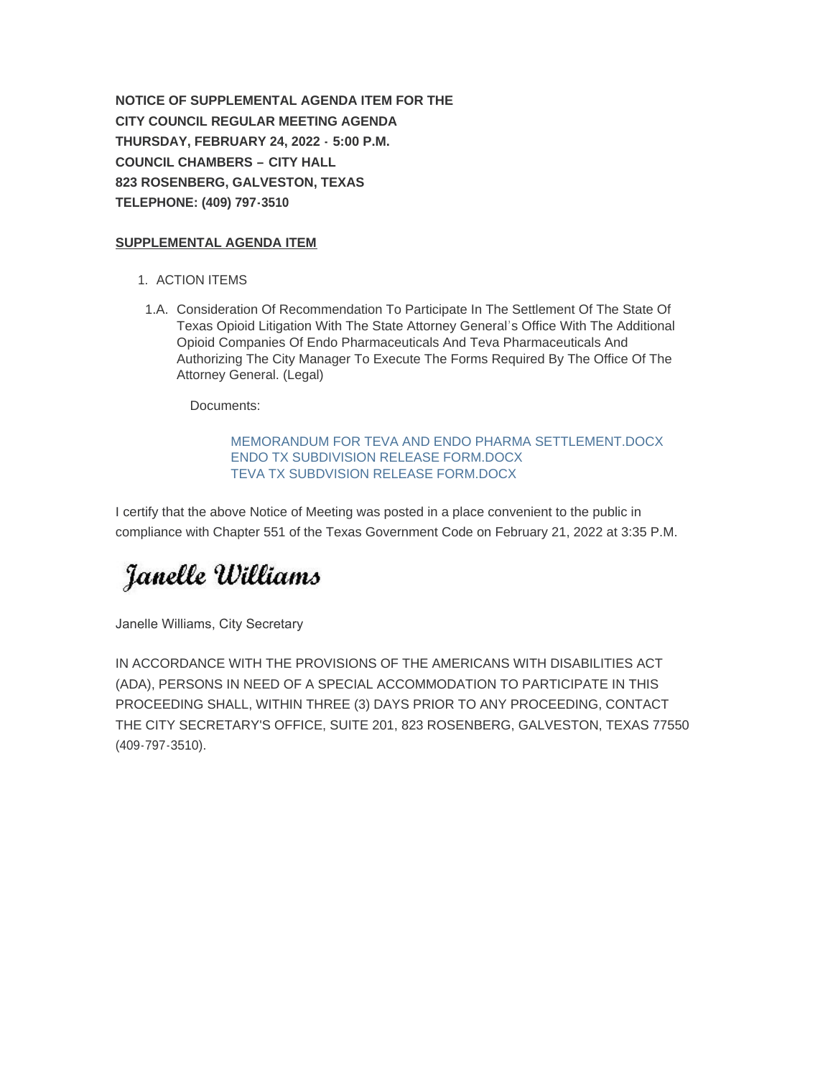**NOTICE OF SUPPLEMENTAL AGENDA ITEM FOR THE CITY COUNCIL REGULAR MEETING AGENDA THURSDAY, FEBRUARY 24, 2022 - 5:00 P.M. COUNCIL CHAMBERS – CITY HALL 823 ROSENBERG, GALVESTON, TEXAS TELEPHONE: (409) 797-3510**

## **SUPPLEMENTAL AGENDA ITEM**

- 1. ACTION ITEMS
	- 1.A. Consideration Of Recommendation To Participate In The Settlement Of The State Of Texas Opioid Litigation With The State Attorney General's Office With The Additional Opioid Companies Of Endo Pharmaceuticals And Teva Pharmaceuticals And Authorizing The City Manager To Execute The Forms Required By The Office Of The Attorney General. (Legal)

Documents:

### MEMORANDUM FOR TEVA AND ENDO PHARMA SETTLEMENT.DOCX ENDO TX SUBDIVISION RELEASE FORM.DOCX TEVA TX SUBDVISION RELEASE FORM.DOCX

I certify that the above Notice of Meeting was posted in a place convenient to the public in compliance with Chapter 551 of the Texas Government Code on February 21, 2022 at 3:35 P.M.

# Janelle Williams

Janelle Williams, City Secretary

IN ACCORDANCE WITH THE PROVISIONS OF THE AMERICANS WITH DISABILITIES ACT (ADA), PERSONS IN NEED OF A SPECIAL ACCOMMODATION TO PARTICIPATE IN THIS PROCEEDING SHALL, WITHIN THREE (3) DAYS PRIOR TO ANY PROCEEDING, CONTACT THE CITY SECRETARY'S OFFICE, SUITE 201, 823 ROSENBERG, GALVESTON, TEXAS 77550 (409-797-3510).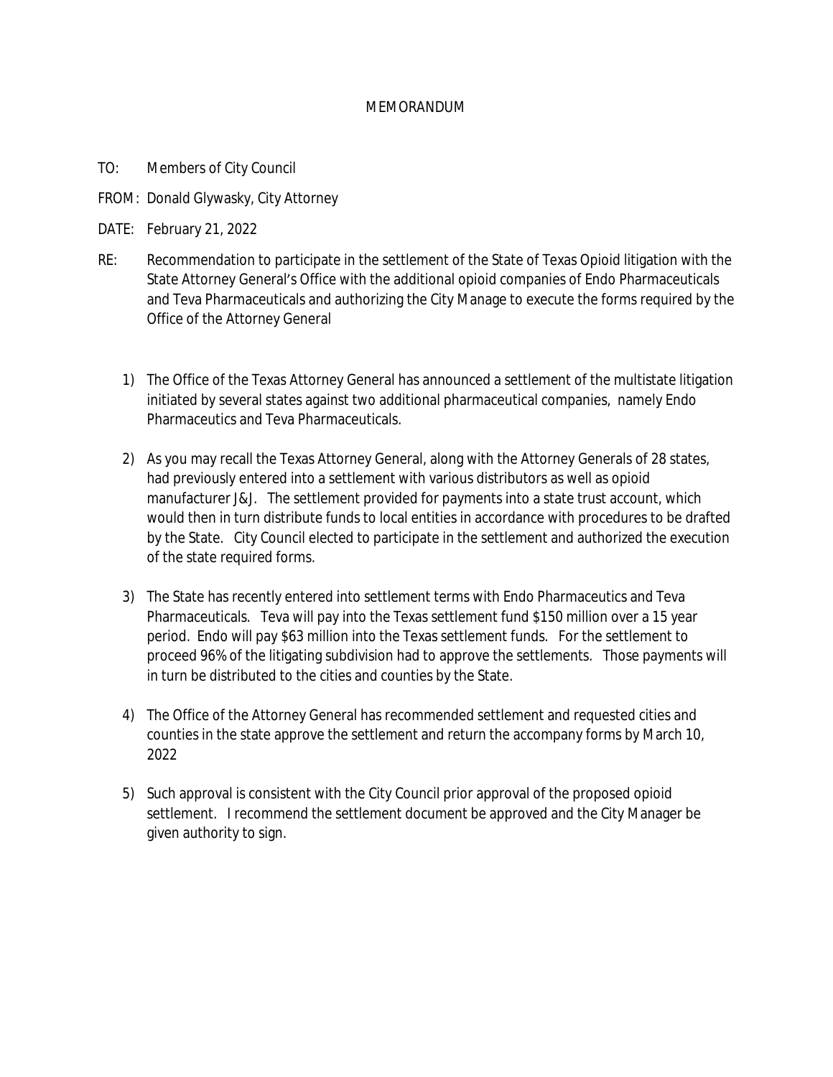# MEMORANDUM

- TO: Members of City Council
- FROM: Donald Glywasky, City Attorney
- DATE: February 21, 2022
- RE: Recommendation to participate in the settlement of the State of Texas Opioid litigation with the State Attorney General's Office with the additional opioid companies of Endo Pharmaceuticals and Teva Pharmaceuticals and authorizing the City Manage to execute the forms required by the Office of the Attorney General
	- 1) The Office of the Texas Attorney General has announced a settlement of the multistate litigation initiated by several states against two additional pharmaceutical companies, namely Endo Pharmaceutics and Teva Pharmaceuticals.
	- 2) As you may recall the Texas Attorney General, along with the Attorney Generals of 28 states, had previously entered into a settlement with various distributors as well as opioid manufacturer J&J. The settlement provided for payments into a state trust account, which would then in turn distribute funds to local entities in accordance with procedures to be drafted by the State. City Council elected to participate in the settlement and authorized the execution of the state required forms.
	- 3) The State has recently entered into settlement terms with Endo Pharmaceutics and Teva Pharmaceuticals. Teva will pay into the Texas settlement fund \$150 million over a 15 year period. Endo will pay \$63 million into the Texas settlement funds. For the settlement to proceed 96% of the litigating subdivision had to approve the settlements. Those payments will in turn be distributed to the cities and counties by the State.
	- 4) The Office of the Attorney General has recommended settlement and requested cities and counties in the state approve the settlement and return the accompany forms by March 10, 2022
	- 5) Such approval is consistent with the City Council prior approval of the proposed opioid settlement. I recommend the settlement document be approved and the City Manager be given authority to sign.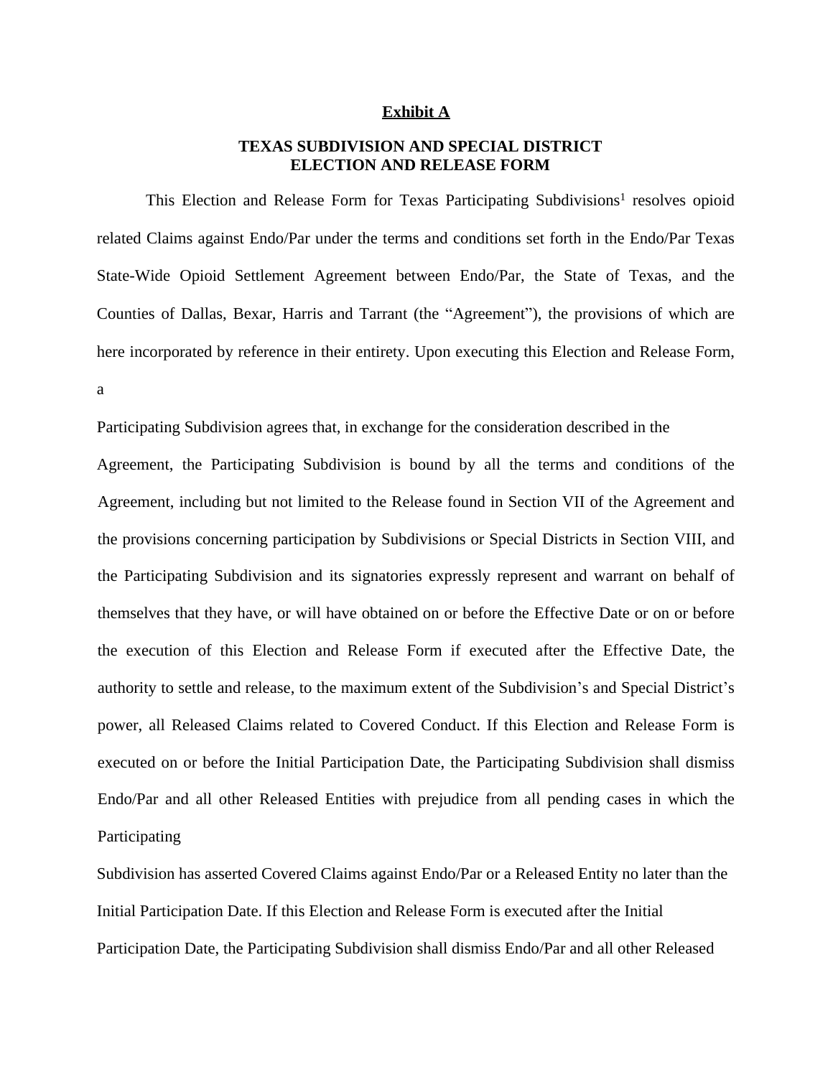### **Exhibit A**

# **TEXAS SUBDIVISION AND SPECIAL DISTRICT ELECTION AND RELEASE FORM**

This Election and Release Form for Texas Participating Subdivisions<sup>1</sup> resolves opioid related Claims against Endo/Par under the terms and conditions set forth in the Endo/Par Texas State-Wide Opioid Settlement Agreement between Endo/Par, the State of Texas, and the Counties of Dallas, Bexar, Harris and Tarrant (the "Agreement"), the provisions of which are here incorporated by reference in their entirety. Upon executing this Election and Release Form, a

Participating Subdivision agrees that, in exchange for the consideration described in the Agreement, the Participating Subdivision is bound by all the terms and conditions of the Agreement, including but not limited to the Release found in Section VII of the Agreement and the provisions concerning participation by Subdivisions or Special Districts in Section VIII, and the Participating Subdivision and its signatories expressly represent and warrant on behalf of themselves that they have, or will have obtained on or before the Effective Date or on or before the execution of this Election and Release Form if executed after the Effective Date, the authority to settle and release, to the maximum extent of the Subdivision's and Special District's power, all Released Claims related to Covered Conduct. If this Election and Release Form is executed on or before the Initial Participation Date, the Participating Subdivision shall dismiss Endo/Par and all other Released Entities with prejudice from all pending cases in which the Participating

Subdivision has asserted Covered Claims against Endo/Par or a Released Entity no later than the Initial Participation Date. If this Election and Release Form is executed after the Initial Participation Date, the Participating Subdivision shall dismiss Endo/Par and all other Released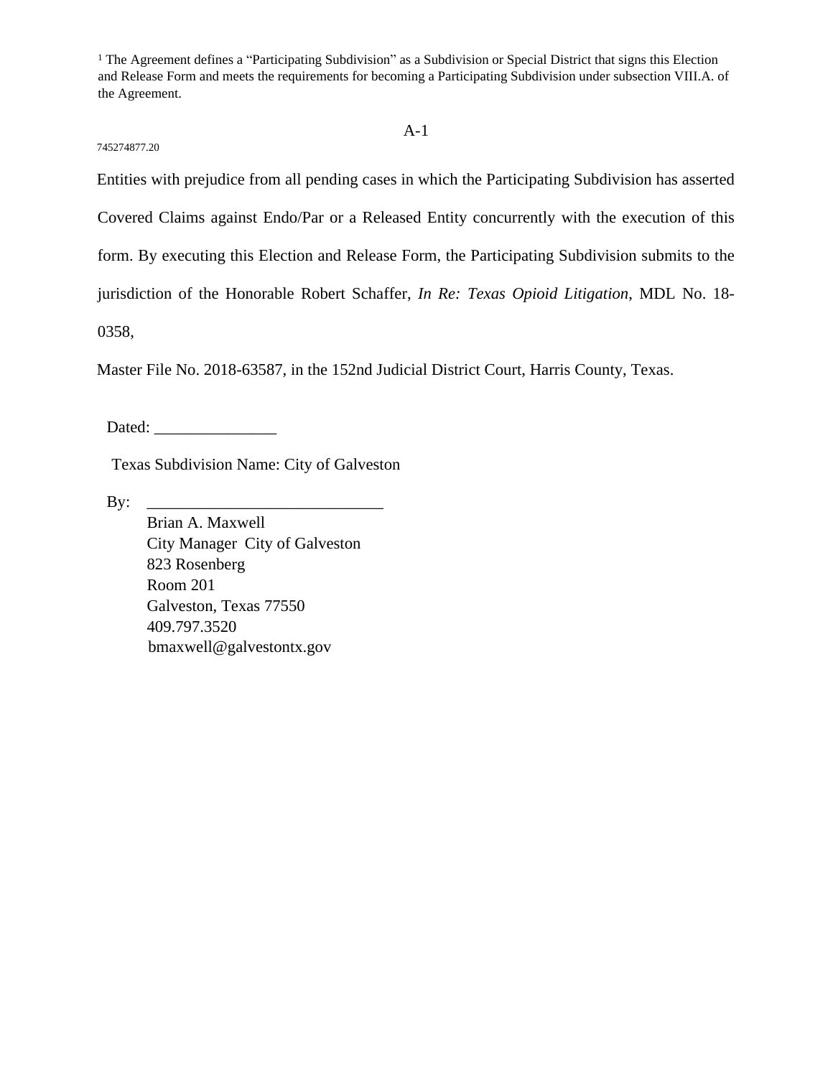<sup>1</sup> The Agreement defines a "Participating Subdivision" as a Subdivision or Special District that signs this Election and Release Form and meets the requirements for becoming a Participating Subdivision under subsection VIII.A. of the Agreement.

A-1

#### 745274877.20

Entities with prejudice from all pending cases in which the Participating Subdivision has asserted

Covered Claims against Endo/Par or a Released Entity concurrently with the execution of this

form. By executing this Election and Release Form, the Participating Subdivision submits to the

jurisdiction of the Honorable Robert Schaffer, *In Re: Texas Opioid Litigation*, MDL No. 18-

0358,

Master File No. 2018-63587, in the 152nd Judicial District Court, Harris County, Texas.

Dated:

Texas Subdivision Name: City of Galveston

By: \_\_\_\_\_\_\_\_\_\_\_\_\_\_\_\_\_\_\_\_\_\_\_\_\_\_\_\_\_

Brian A. Maxwell City Manager City of Galveston 823 Rosenberg Room 201 Galveston, Texas 77550 409.797.3520 bmaxwell@galvestontx.gov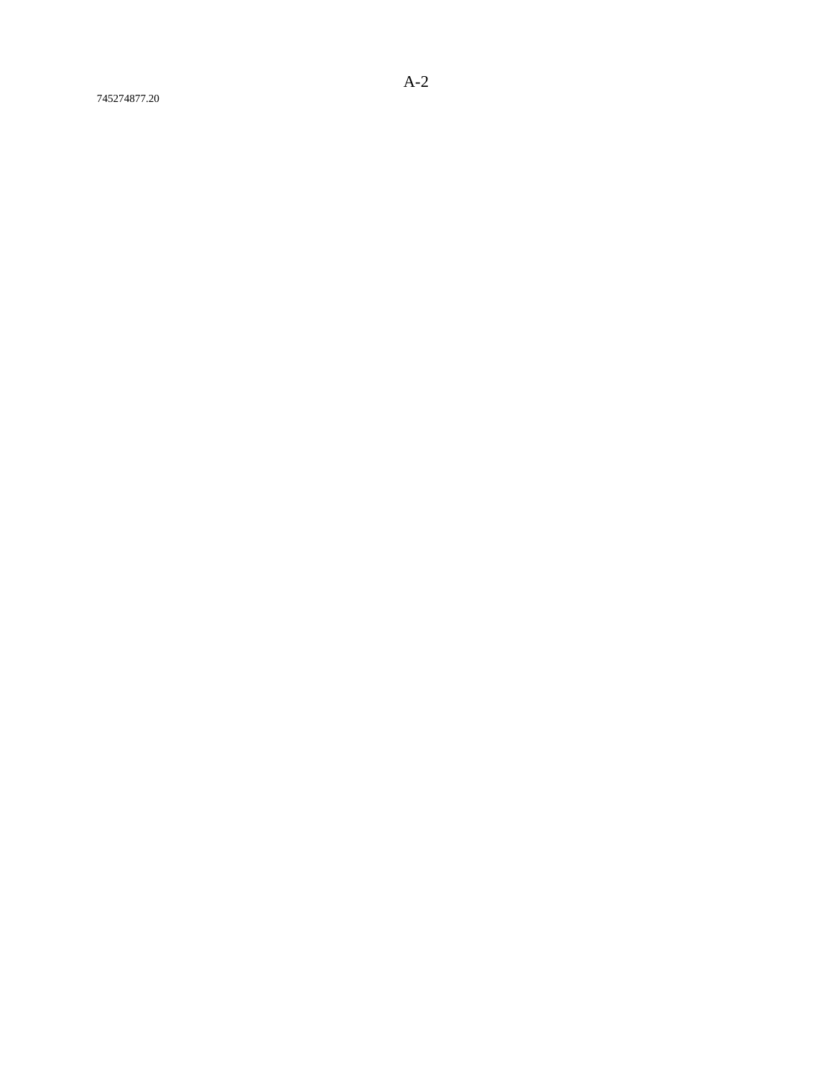745274877.20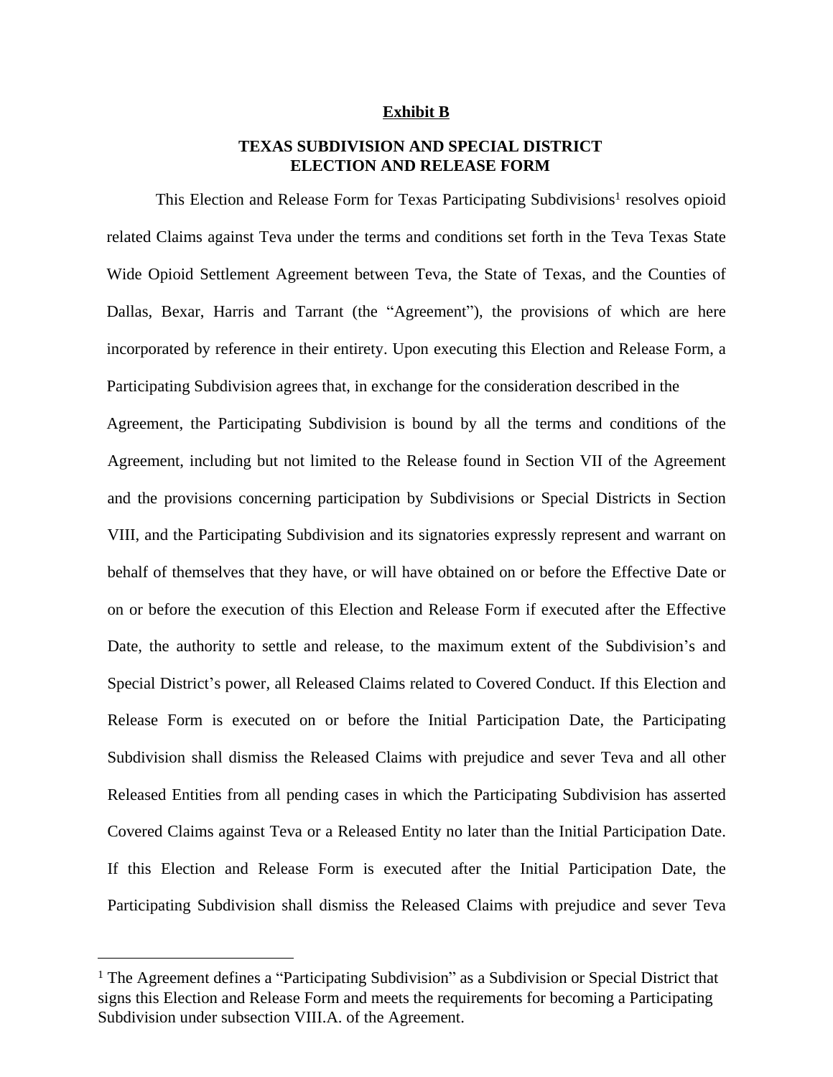#### **Exhibit B**

# **TEXAS SUBDIVISION AND SPECIAL DISTRICT ELECTION AND RELEASE FORM**

This Election and Release Form for Texas Participating Subdivisions<sup>1</sup> resolves opioid related Claims against Teva under the terms and conditions set forth in the Teva Texas State Wide Opioid Settlement Agreement between Teva, the State of Texas, and the Counties of Dallas, Bexar, Harris and Tarrant (the "Agreement"), the provisions of which are here incorporated by reference in their entirety. Upon executing this Election and Release Form, a Participating Subdivision agrees that, in exchange for the consideration described in the Agreement, the Participating Subdivision is bound by all the terms and conditions of the Agreement, including but not limited to the Release found in Section VII of the Agreement and the provisions concerning participation by Subdivisions or Special Districts in Section VIII, and the Participating Subdivision and its signatories expressly represent and warrant on behalf of themselves that they have, or will have obtained on or before the Effective Date or on or before the execution of this Election and Release Form if executed after the Effective Date, the authority to settle and release, to the maximum extent of the Subdivision's and Special District's power, all Released Claims related to Covered Conduct. If this Election and Release Form is executed on or before the Initial Participation Date, the Participating Subdivision shall dismiss the Released Claims with prejudice and sever Teva and all other Released Entities from all pending cases in which the Participating Subdivision has asserted Covered Claims against Teva or a Released Entity no later than the Initial Participation Date. If this Election and Release Form is executed after the Initial Participation Date, the Participating Subdivision shall dismiss the Released Claims with prejudice and sever Teva

<sup>&</sup>lt;sup>1</sup> The Agreement defines a "Participating Subdivision" as a Subdivision or Special District that signs this Election and Release Form and meets the requirements for becoming a Participating Subdivision under subsection VIII.A. of the Agreement.